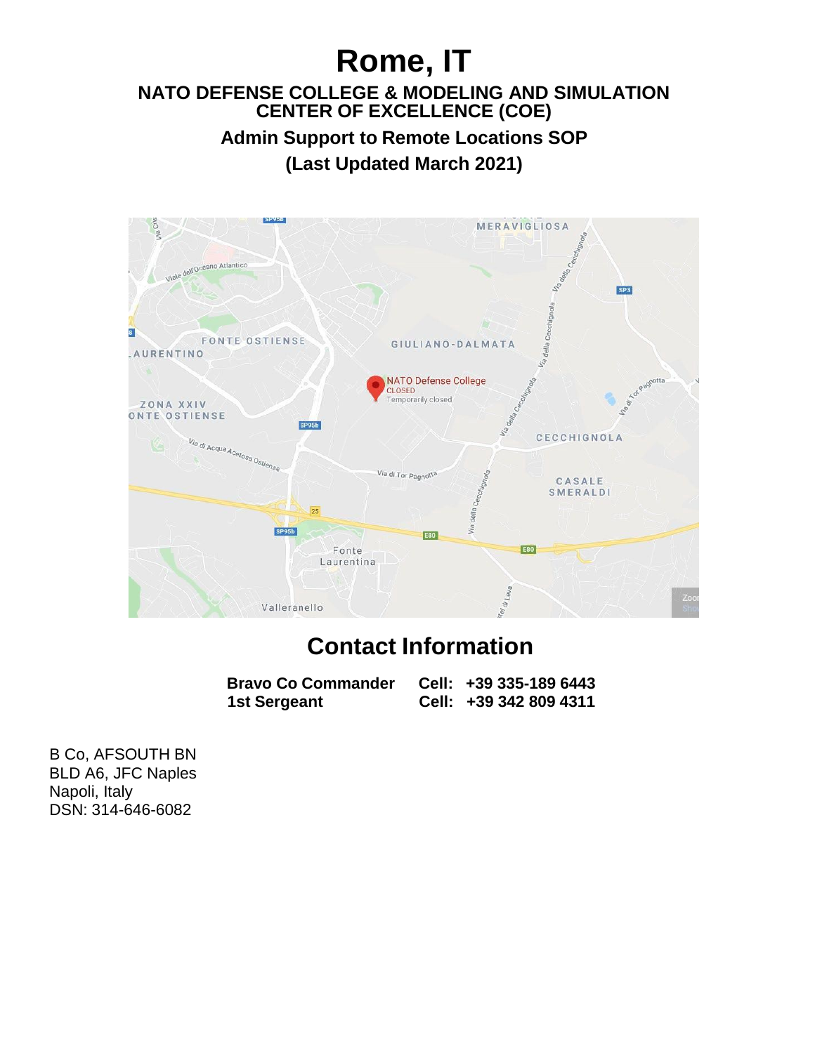# **Rome, IT**

#### **NATO DEFENSE COLLEGE & MODELING AND SIMULATION CENTER OF EXCELLENCE (COE)**

**Admin Support to Remote Locations SOP (Last Updated March 2021)**



## **Contact Information**

| <b>Bravo Co Commander</b> | Cell: +39 335-189 6443 |
|---------------------------|------------------------|
| 1st Sergeant              | Cell: +39 342 809 4311 |

B Co, AFSOUTH BN BLD A6, JFC Naples Napoli, Italy DSN: 314-646-6082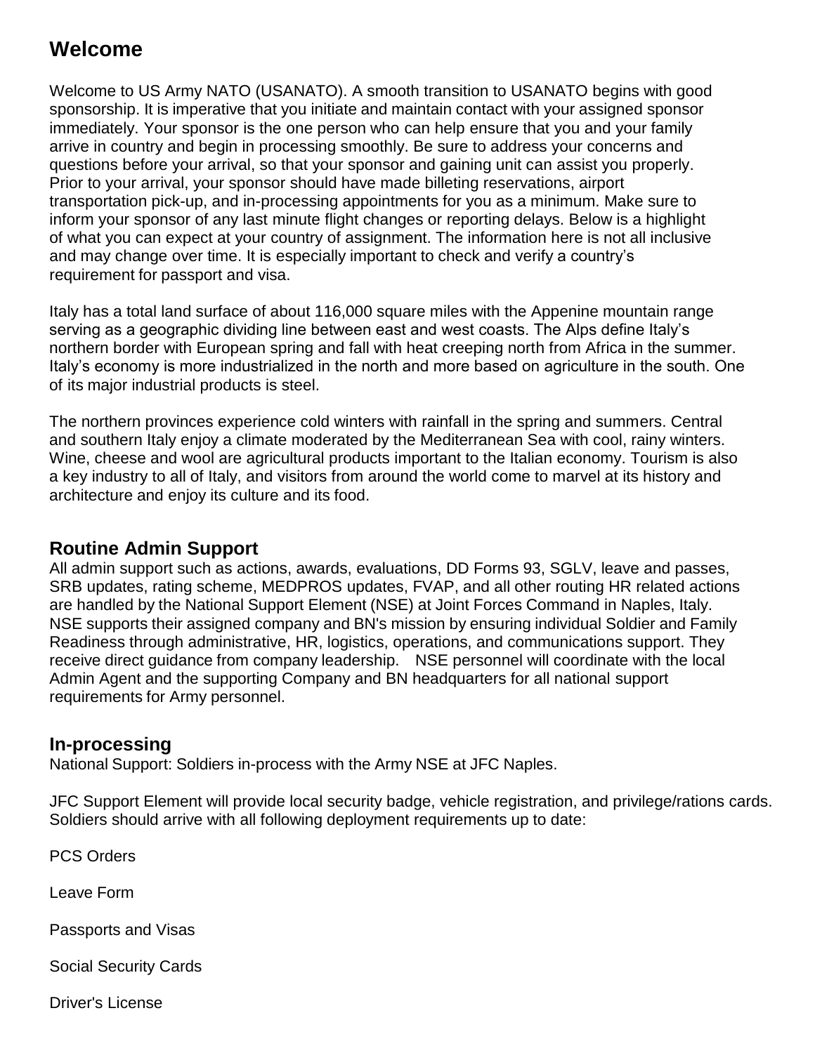## **Welcome**

Welcome to US Army NATO (USANATO). A smooth transition to USANATO begins with good sponsorship. It is imperative that you initiate and maintain contact with your assigned sponsor immediately. Your sponsor is the one person who can help ensure that you and your family arrive in country and begin in processing smoothly. Be sure to address your concerns and questions before your arrival, so that your sponsor and gaining unit can assist you properly. Prior to your arrival, your sponsor should have made billeting reservations, airport transportation pick-up, and in-processing appointments for you as a minimum. Make sure to inform your sponsor of any last minute flight changes or reporting delays. Below is a highlight of what you can expect at your country of assignment. The information here is not all inclusive and may change over time. It is especially important to check and verify a country's requirement for passport and visa.

Italy has a total land surface of about 116,000 square miles with the Appenine mountain range serving as a geographic dividing line between east and west coasts. The Alps define Italy's northern border with European spring and fall with heat creeping north from Africa in the summer. Italy's economy is more industrialized in the north and more based on agriculture in the south. One of its major industrial products is steel.

The northern provinces experience cold winters with rainfall in the spring and summers. Central and southern Italy enjoy a climate moderated by the Mediterranean Sea with cool, rainy winters. Wine, cheese and wool are agricultural products important to the Italian economy. Tourism is also a key industry to all of Italy, and visitors from around the world come to marvel at its history and architecture and enjoy its culture and its food.

#### **Routine Admin Support**

All admin support such as actions, awards, evaluations, DD Forms 93, SGLV, leave and passes, SRB updates, rating scheme, MEDPROS updates, FVAP, and all other routing HR related actions are handled by the National Support Element (NSE) at Joint Forces Command in Naples, Italy. NSE supports their assigned company and BN's mission by ensuring individual Soldier and Family Readiness through administrative, HR, logistics, operations, and communications support. They receive direct guidance from company leadership. NSE personnel will coordinate with the local Admin Agent and the supporting Company and BN headquarters for all national support requirements for Army personnel.

#### **In-processing**

National Support: Soldiers in-process with the Army NSE at JFC Naples.

JFC Support Element will provide local security badge, vehicle registration, and privilege/rations cards. Soldiers should arrive with all following deployment requirements up to date:

PCS Orders

Leave Form

Passports and Visas

Social Security Cards

Driver's License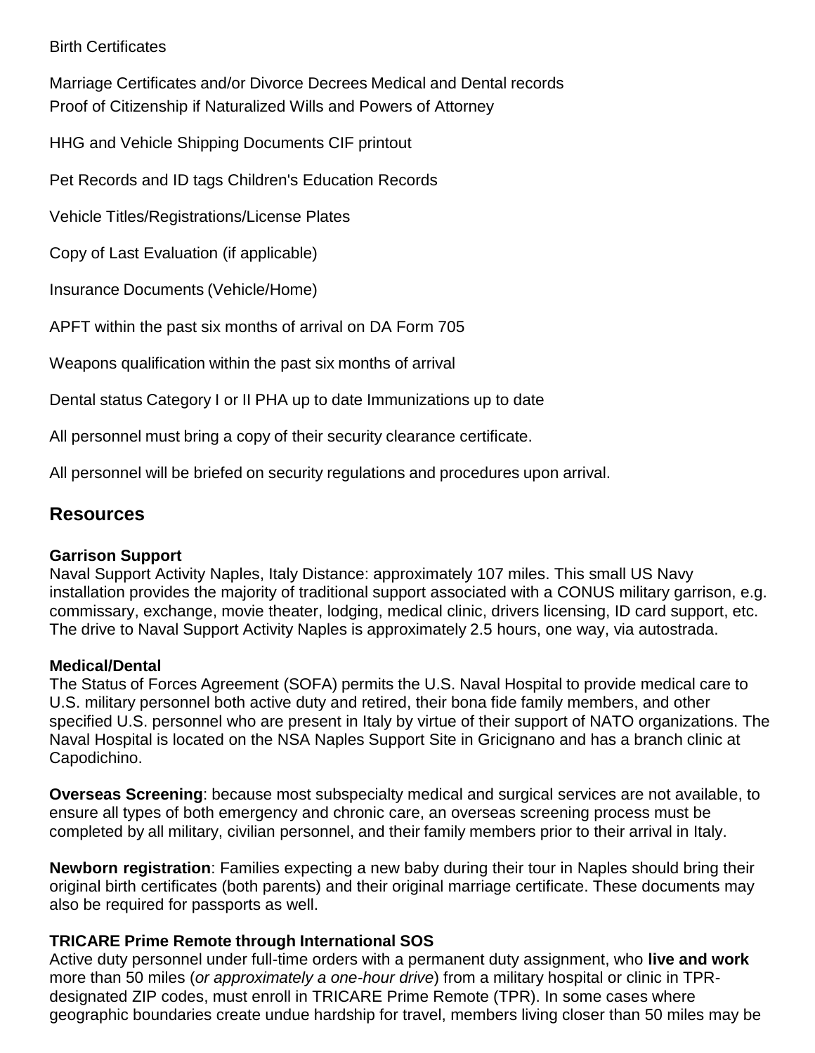#### Birth Certificates

Marriage Certificates and/or Divorce Decrees Medical and Dental records Proof of Citizenship if Naturalized Wills and Powers of Attorney

HHG and Vehicle Shipping Documents CIF printout

Pet Records and ID tags Children's Education Records

Vehicle Titles/Registrations/License Plates

Copy of Last Evaluation (if applicable)

Insurance Documents (Vehicle/Home)

APFT within the past six months of arrival on DA Form 705

Weapons qualification within the past six months of arrival

Dental status Category I or II PHA up to date Immunizations up to date

All personnel must bring a copy of their security clearance certificate.

All personnel will be briefed on security regulations and procedures upon arrival.

#### **Resources**

#### **Garrison Support**

Naval Support Activity Naples, Italy Distance: approximately 107 miles. This small US Navy installation provides the majority of traditional support associated with a CONUS military garrison, e.g. commissary, exchange, movie theater, lodging, medical clinic, drivers licensing, ID card support, etc. The drive to Naval Support Activity Naples is approximately 2.5 hours, one way, via autostrada.

#### **Medical/Dental**

The Status of Forces Agreement (SOFA) permits the U.S. Naval Hospital to provide medical care to U.S. military personnel both active duty and retired, their bona fide family members, and other specified U.S. personnel who are present in Italy by virtue of their support of NATO organizations. The Naval Hospital is located on the NSA Naples Support Site in Gricignano and has a branch clinic at Capodichino.

**Overseas Screening**: because most subspecialty medical and surgical services are not available, to ensure all types of both emergency and chronic care, an overseas screening process must be completed by all military, civilian personnel, and their family members prior to their arrival in Italy.

**Newborn registration**: Families expecting a new baby during their tour in Naples should bring their original birth certificates (both parents) and their original marriage certificate. These documents may also be required for passports as well.

#### **TRICARE Prime Remote through International SOS**

Active duty personnel under full-time orders with a permanent duty assignment, who **live and work** more than 50 miles (*or approximately a one-hour drive*) from a military hospital or clinic in TPRdesignated ZIP codes, must enroll in TRICARE Prime Remote (TPR). In some cases where geographic boundaries create undue hardship for travel, members living closer than 50 miles may be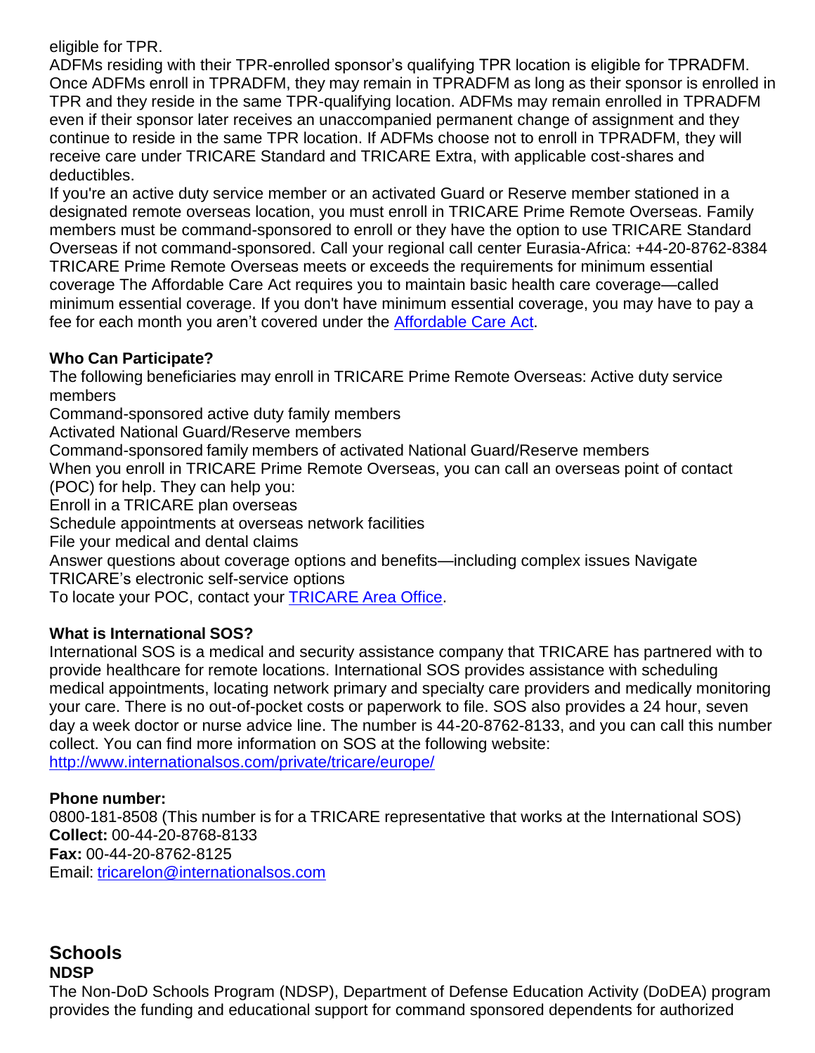eligible for TPR.

ADFMs residing with their TPR-enrolled sponsor's qualifying TPR location is eligible for TPRADFM. Once ADFMs enroll in TPRADFM, they may remain in TPRADFM as long as their sponsor is enrolled in TPR and they reside in the same TPR-qualifying location. ADFMs may remain enrolled in TPRADFM even if their sponsor later receives an unaccompanied permanent change of assignment and they continue to reside in the same TPR location. If ADFMs choose not to enroll in TPRADFM, they will receive care under TRICARE Standard and TRICARE Extra, with applicable cost-shares and deductibles.

If you're an active duty service member or an activated Guard or Reserve member stationed in a designated remote overseas location, you must enroll in TRICARE Prime Remote Overseas. Family members must be command-sponsored to enroll or they have the option to use TRICARE Standard Overseas if not command-sponsored. Call your regional call center Eurasia-Africa: +44-20-8762-8384 TRICARE Prime Remote Overseas meets or exceeds the requirements for minimum essential coverage The Affordable Care Act requires you to maintain basic health care coverage—called minimum essential coverage. If you don't have minimum essential coverage, you may have to pay a fee for each month you aren't covered under the [Affordable Care](http://www.tricare.mil/About/MEC.aspx) Act.

#### **Who Can Participate?**

The following beneficiaries may enroll in TRICARE Prime Remote Overseas: Active duty service members

Command-sponsored active duty family members

Activated National Guard/Reserve members

Command-sponsored family members of activated National Guard/Reserve members

When you enroll in TRICARE Prime Remote Overseas, you can call an overseas point of contact (POC) for help. They can help you:

Enroll in a TRICARE plan overseas

Schedule appointments at overseas network facilities

File your medical and dental claims

Answer questions about coverage options and benefits—including complex issues Navigate TRICARE's electronic self-service options

To locate your POC, contact your [TRICARE](http://www.tricare.mil/ContactUs/CallUs/TAOs.aspx) Area Office.

#### **What is International SOS?**

International SOS is a medical and security assistance company that TRICARE has partnered with to provide healthcare for remote locations. International SOS provides assistance with scheduling medical appointments, locating network primary and specialty care providers and medically monitoring your care. There is no out-of-pocket costs or paperwork to file. SOS also provides a 24 hour, seven day a week doctor or nurse advice line. The number is 44-20-8762-8133, and you can call this number collect. You can find more information on SOS at the following website: <http://www.internationalsos.com/private/tricare/europe/>

#### **Phone number:**

0800-181-8508 (This number is for a TRICARE representative that works at the International SOS) **Collect:** 00-44-20-8768-8133 **Fax:** 00-44-20-8762-8125 Email: [tricarelon@internationalsos.com](mailto:tricarelon@internationalsos.com)

#### **Schools NDSP**

The Non-DoD Schools Program (NDSP), Department of Defense Education Activity (DoDEA) program provides the funding and educational support for command sponsored dependents for authorized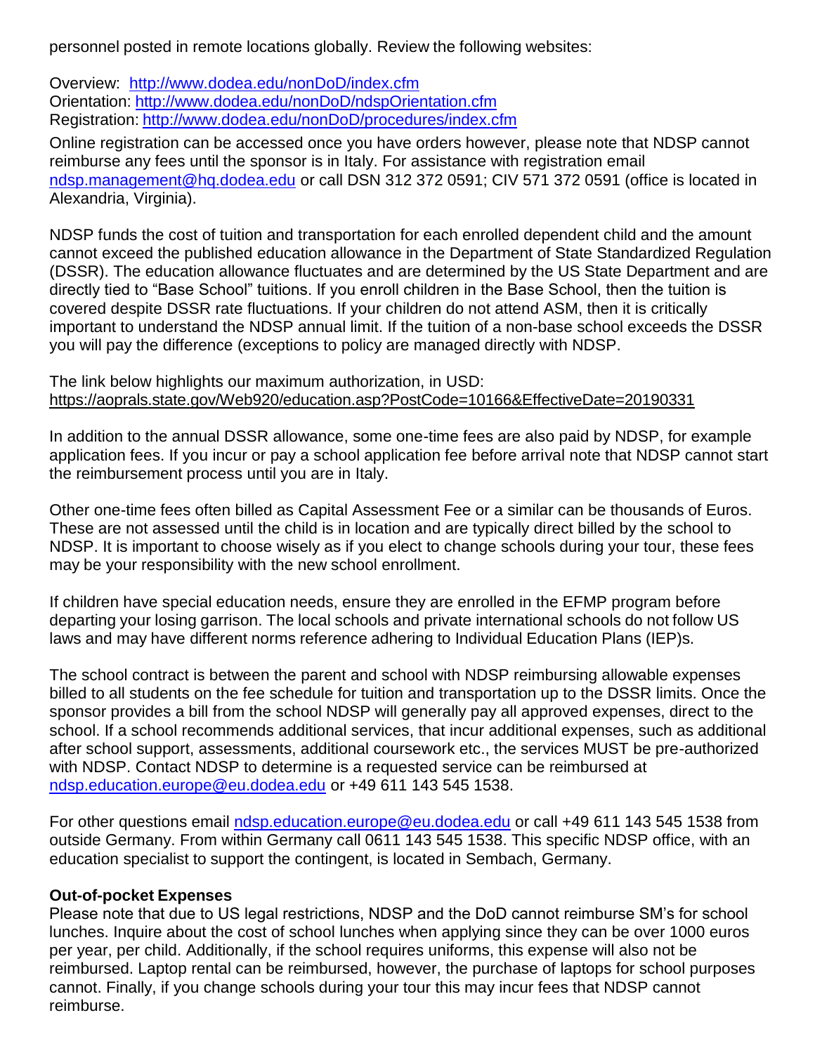personnel posted in remote locations globally. Review the following websites:

Overview: <http://www.dodea.edu/nonDoD/index.cfm> Orientation: <http://www.dodea.edu/nonDoD/ndspOrientation.cfm> Registration: <http://www.dodea.edu/nonDoD/procedures/index.cfm>

Online registration can be accessed once you have orders however, please note that NDSP cannot reimburse any fees until the sponsor is in Italy. For assistance with registration email [ndsp.management@hq.dodea.edu](mailto:ndsp.management@hq.dodea.edu) or call DSN 312 372 0591; CIV 571 372 0591 (office is located in Alexandria, Virginia).

NDSP funds the cost of tuition and transportation for each enrolled dependent child and the amount cannot exceed the published education allowance in the Department of State Standardized Regulation (DSSR). The education allowance fluctuates and are determined by the US State Department and are directly tied to "Base School" tuitions. If you enroll children in the Base School, then the tuition is covered despite DSSR rate fluctuations. If your children do not attend ASM, then it is critically important to understand the NDSP annual limit. If the tuition of a non-base school exceeds the DSSR you will pay the difference (exceptions to policy are managed directly with NDSP.

#### The link below highlights our maximum authorization, in USD: https://aoprals.state.gov/Web920/education.asp?PostCode=10166&EffectiveDate=20190331

In addition to the annual DSSR allowance, some one-time fees are also paid by NDSP, for example application fees. If you incur or pay a school application fee before arrival note that NDSP cannot start the reimbursement process until you are in Italy.

Other one-time fees often billed as Capital Assessment Fee or a similar can be thousands of Euros. These are not assessed until the child is in location and are typically direct billed by the school to NDSP. It is important to choose wisely as if you elect to change schools during your tour, these fees may be your responsibility with the new school enrollment.

If children have special education needs, ensure they are enrolled in the EFMP program before departing your losing garrison. The local schools and private international schools do not follow US laws and may have different norms reference adhering to Individual Education Plans (IEP)s.

The school contract is between the parent and school with NDSP reimbursing allowable expenses billed to all students on the fee schedule for tuition and transportation up to the DSSR limits. Once the sponsor provides a bill from the school NDSP will generally pay all approved expenses, direct to the school. If a school recommends additional services, that incur additional expenses, such as additional after school support, assessments, additional coursework etc., the services MUST be pre-authorized with NDSP. Contact NDSP to determine is a requested service can be reimbursed at [ndsp.education.europe@eu.dodea.edu](mailto:ndsp.education.europe@eu.dodea.edu) or +49 611 143 545 1538.

For other questions email [ndsp.education.europe@eu.dodea.edu](mailto:ndsp.education.europe@eu.dodea.edu) or call +49 611 143 545 1538 from outside Germany. From within Germany call 0611 143 545 1538. This specific NDSP office, with an education specialist to support the contingent, is located in Sembach, Germany.

#### **Out-of-pocket Expenses**

Please note that due to US legal restrictions, NDSP and the DoD cannot reimburse SM's for school lunches. Inquire about the cost of school lunches when applying since they can be over 1000 euros per year, per child. Additionally, if the school requires uniforms, this expense will also not be reimbursed. Laptop rental can be reimbursed, however, the purchase of laptops for school purposes cannot. Finally, if you change schools during your tour this may incur fees that NDSP cannot reimburse.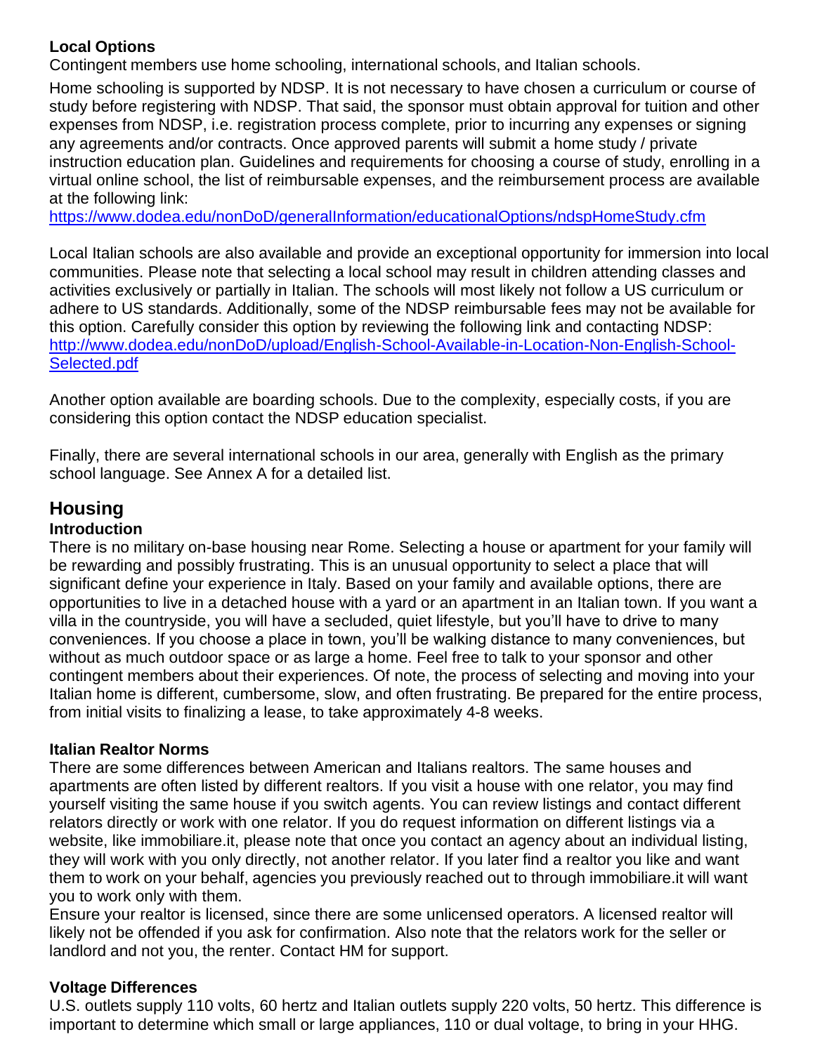#### **Local Options**

Contingent members use home schooling, international schools, and Italian schools.

Home schooling is supported by NDSP. It is not necessary to have chosen a curriculum or course of study before registering with NDSP. That said, the sponsor must obtain approval for tuition and other expenses from NDSP, i.e. registration process complete, prior to incurring any expenses or signing any agreements and/or contracts. Once approved parents will submit a home study / private instruction education plan. Guidelines and requirements for choosing a course of study, enrolling in a virtual online school, the list of reimbursable expenses, and the reimbursement process are available at the following link:

<https://www.dodea.edu/nonDoD/generalInformation/educationalOptions/ndspHomeStudy.cfm>

Local Italian schools are also available and provide an exceptional opportunity for immersion into local communities. Please note that selecting a local school may result in children attending classes and activities exclusively or partially in Italian. The schools will most likely not follow a US curriculum or adhere to US standards. Additionally, some of the NDSP reimbursable fees may not be available for this option. Carefully consider this option by reviewing the following link and contacting NDSP: [http://www.dodea.edu/nonDoD/upload/English-School-Available-in-Location-Non-English-School-](http://www.dodea.edu/nonDoD/upload/English-School-Available-in-Location-Non-English-School-Selected.pdf)[Selected.pdf](http://www.dodea.edu/nonDoD/upload/English-School-Available-in-Location-Non-English-School-Selected.pdf)

Another option available are boarding schools. Due to the complexity, especially costs, if you are considering this option contact the NDSP education specialist.

Finally, there are several international schools in our area, generally with English as the primary school language. See Annex A for a detailed list.

## **Housing**

#### **Introduction**

There is no military on-base housing near Rome. Selecting a house or apartment for your family will be rewarding and possibly frustrating. This is an unusual opportunity to select a place that will significant define your experience in Italy. Based on your family and available options, there are opportunities to live in a detached house with a yard or an apartment in an Italian town. If you want a villa in the countryside, you will have a secluded, quiet lifestyle, but you'll have to drive to many conveniences. If you choose a place in town, you'll be walking distance to many conveniences, but without as much outdoor space or as large a home. Feel free to talk to your sponsor and other contingent members about their experiences. Of note, the process of selecting and moving into your Italian home is different, cumbersome, slow, and often frustrating. Be prepared for the entire process, from initial visits to finalizing a lease, to take approximately 4-8 weeks.

#### **Italian Realtor Norms**

There are some differences between American and Italians realtors. The same houses and apartments are often listed by different realtors. If you visit a house with one relator, you may find yourself visiting the same house if you switch agents. You can review listings and contact different relators directly or work with one relator. If you do request information on different listings via a website, like immobiliare.it, please note that once you contact an agency about an individual listing, they will work with you only directly, not another relator. If you later find a realtor you like and want them to work on your behalf, agencies you previously reached out to through immobiliare.it will want you to work only with them.

Ensure your realtor is licensed, since there are some unlicensed operators. A licensed realtor will likely not be offended if you ask for confirmation. Also note that the relators work for the seller or landlord and not you, the renter. Contact HM for support.

#### **Voltage Differences**

U.S. outlets supply 110 volts, 60 hertz and Italian outlets supply 220 volts, 50 hertz. This difference is important to determine which small or large appliances, 110 or dual voltage, to bring in your HHG.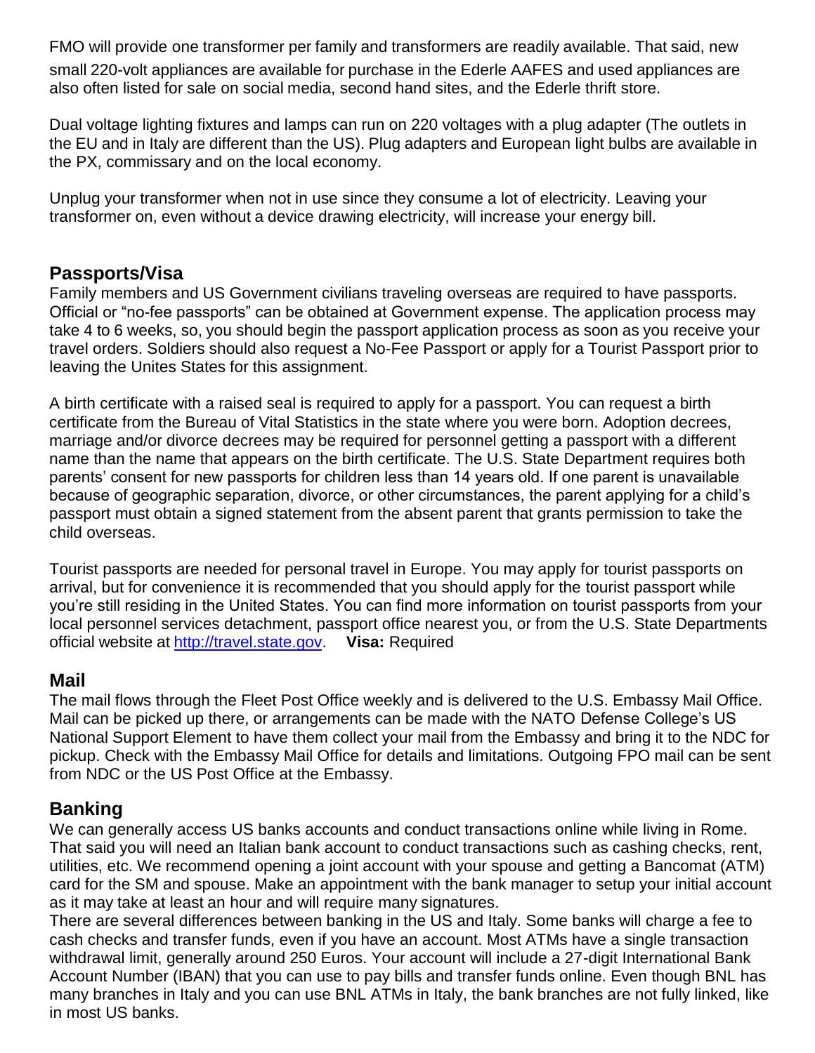FMO will provide one transformer per family and transformers are readily available. That said, new small 220-volt appliances are available for purchase in the Ederle AAFES and used appliances are also often listed for sale on social media, second hand sites, and the Ederle thrift store.

Dual voltage lighting fixtures and lamps can run on 220 voltages with a plug adapter (The outlets in the EU and in Italy are different than the US). Plug adapters and European light bulbs are available in the PX, commissary and on the local economy.

Unplug your transformer when not in use since they consume a lot of electricity. Leaving your transformer on, even without a device drawing electricity, will increase your energy bill.

#### **Passports/Visa**

Family members and US Government civilians traveling overseas are required to have passports. Official or "no-fee passports" can be obtained at Government expense. The application process may take 4 to 6 weeks, so, you should begin the passport application process as soon as you receive your travel orders. Soldiers should also request a No-Fee Passport or apply for a Tourist Passport prior to leaving the Unites States for this assignment.

A birth certificate with a raised seal is required to apply for a passport. You can request a birth certificate from the Bureau of Vital Statistics in the state where you were born. Adoption decrees, marriage and/or divorce decrees may be required for personnel getting a passport with a different name than the name that appears on the birth certificate. The U.S. State Department requires both parents' consent for new passports for children less than 14 years old. If one parent is unavailable because of geographic separation, divorce, or other circumstances, the parent applying for a child's passport must obtain a signed statement from the absent parent that grants permission to take the child overseas.

Tourist passports are needed for personal travel in Europe. You may apply for tourist passports on arrival, but for convenience it is recommended that you should apply for the tourist passport while you're still residing in the United States. You can find more information on tourist passports from your local personnel services detachment, passport office nearest you, or from the U.S. State Departments official website at [http://travel.state.gov.](http://travel.state.gov/) **Visa:** Required

#### **Mail**

The mail flows through the Fleet Post Office weekly and is delivered to the U.S. Embassy Mail Office. Mail can be picked up there, or arrangements can be made with the NATO Defense College's US National Support Element to have them collect your mail from the Embassy and bring it to the NDC for pickup. Check with the Embassy Mail Office for details and limitations. Outgoing FPO mail can be sent from NDC or the US Post Office at the Embassy.

#### **Banking**

We can generally access US banks accounts and conduct transactions online while living in Rome. That said you will need an Italian bank account to conduct transactions such as cashing checks, rent, utilities, etc. We recommend opening a joint account with your spouse and getting a Bancomat (ATM) card for the SM and spouse. Make an appointment with the bank manager to setup your initial account as it may take at least an hour and will require many signatures.

There are several differences between banking in the US and Italy. Some banks will charge a fee to cash checks and transfer funds, even if you have an account. Most ATMs have a single transaction withdrawal limit, generally around 250 Euros. Your account will include a 27-digit International Bank Account Number (IBAN) that you can use to pay bills and transfer funds online. Even though BNL has many branches in Italy and you can use BNL ATMs in Italy, the bank branches are not fully linked, like in most US banks.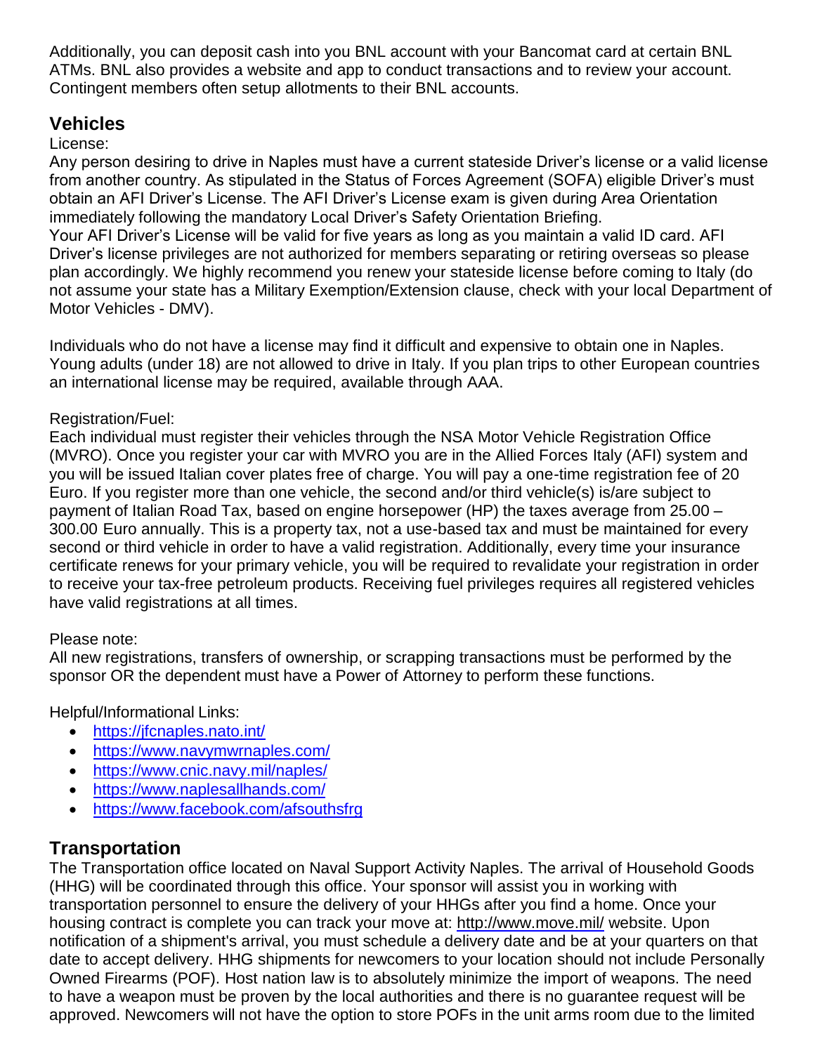Additionally, you can deposit cash into you BNL account with your Bancomat card at certain BNL ATMs. BNL also provides a website and app to conduct transactions and to review your account. Contingent members often setup allotments to their BNL accounts.

## **Vehicles**

#### License:

Any person desiring to drive in Naples must have a current stateside Driver's license or a valid license from another country. As stipulated in the Status of Forces Agreement (SOFA) eligible Driver's must obtain an AFI Driver's License. The AFI Driver's License exam is given during Area Orientation immediately following the mandatory Local Driver's Safety Orientation Briefing. Your AFI Driver's License will be valid for five years as long as you maintain a valid ID card. AFI Driver's license privileges are not authorized for members separating or retiring overseas so please plan accordingly. We highly recommend you renew your stateside license before coming to Italy (do not assume your state has a Military Exemption/Extension clause, check with your local Department of Motor Vehicles - DMV).

Individuals who do not have a license may find it difficult and expensive to obtain one in Naples. Young adults (under 18) are not allowed to drive in Italy. If you plan trips to other European countries an international license may be required, available through AAA.

#### Registration/Fuel:

Each individual must register their vehicles through the NSA Motor Vehicle Registration Office (MVRO). Once you register your car with MVRO you are in the Allied Forces Italy (AFI) system and you will be issued Italian cover plates free of charge. You will pay a one-time registration fee of 20 Euro. If you register more than one vehicle, the second and/or third vehicle(s) is/are subject to payment of Italian Road Tax, based on engine horsepower (HP) the taxes average from 25.00 – 300.00 Euro annually. This is a property tax, not a use-based tax and must be maintained for every second or third vehicle in order to have a valid registration. Additionally, every time your insurance certificate renews for your primary vehicle, you will be required to revalidate your registration in order to receive your tax-free petroleum products. Receiving fuel privileges requires all registered vehicles have valid registrations at all times.

#### Please note:

All new registrations, transfers of ownership, or scrapping transactions must be performed by the sponsor OR the dependent must have a Power of Attorney to perform these functions.

Helpful/Informational Links:

- <https://jfcnaples.nato.int/>
- <https://www.navymwrnaples.com/>
- <https://www.cnic.navy.mil/naples/>
- <https://www.naplesallhands.com/>
- <https://www.facebook.com/afsouthsfrg>

## **Transportation**

The Transportation office located on Naval Support Activity Naples. The arrival of Household Goods (HHG) will be coordinated through this office. Your sponsor will assist you in working with transportation personnel to ensure the delivery of your HHGs after you find a home. Once your housing contract is complete you can track your move at:<http://www.move.mil/> website. Upon notification of a shipment's arrival, you must schedule a delivery date and be at your quarters on that date to accept delivery. HHG shipments for newcomers to your location should not include Personally Owned Firearms (POF). Host nation law is to absolutely minimize the import of weapons. The need to have a weapon must be proven by the local authorities and there is no guarantee request will be approved. Newcomers will not have the option to store POFs in the unit arms room due to the limited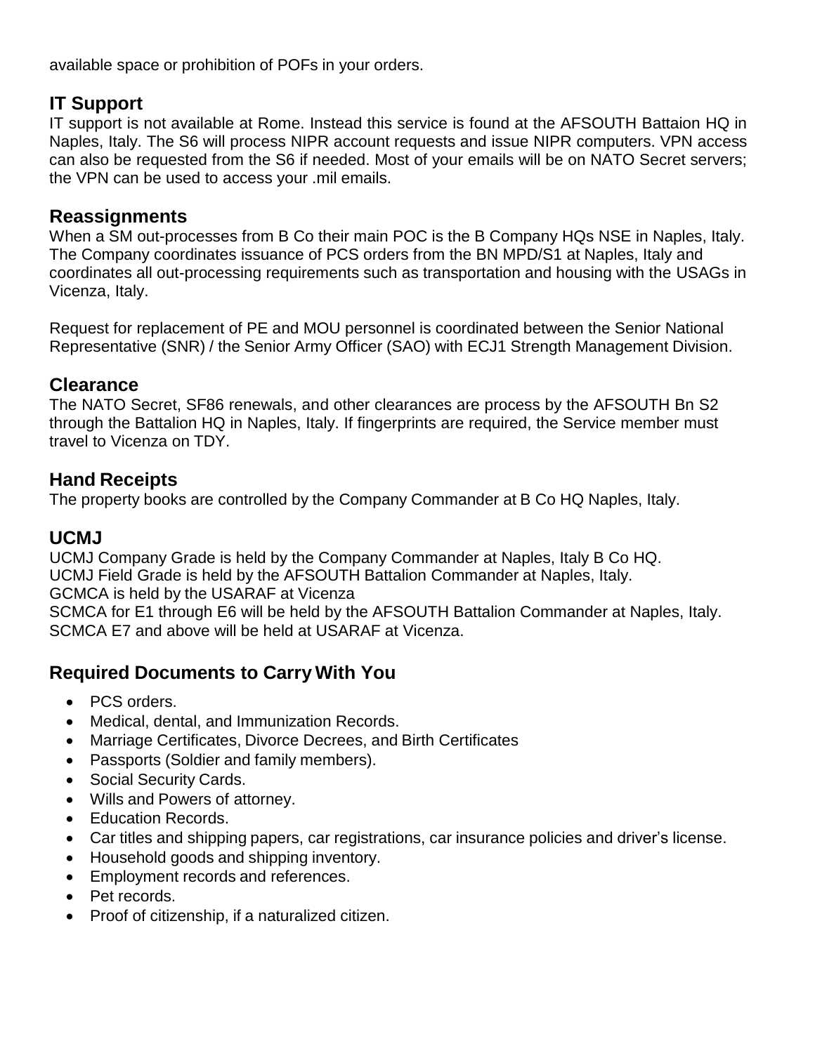available space or prohibition of POFs in your orders.

## **IT Support**

IT support is not available at Rome. Instead this service is found at the AFSOUTH Battaion HQ in Naples, Italy. The S6 will process NIPR account requests and issue NIPR computers. VPN access can also be requested from the S6 if needed. Most of your emails will be on NATO Secret servers; the VPN can be used to access your .mil emails.

#### **Reassignments**

When a SM out-processes from B Co their main POC is the B Company HQs NSE in Naples, Italy. The Company coordinates issuance of PCS orders from the BN MPD/S1 at Naples, Italy and coordinates all out-processing requirements such as transportation and housing with the USAGs in Vicenza, Italy.

Request for replacement of PE and MOU personnel is coordinated between the Senior National Representative (SNR) / the Senior Army Officer (SAO) with ECJ1 Strength Management Division.

#### **Clearance**

The NATO Secret, SF86 renewals, and other clearances are process by the AFSOUTH Bn S2 through the Battalion HQ in Naples, Italy. If fingerprints are required, the Service member must travel to Vicenza on TDY.

#### **Hand Receipts**

The property books are controlled by the Company Commander at B Co HQ Naples, Italy.

#### **UCMJ**

UCMJ Company Grade is held by the Company Commander at Naples, Italy B Co HQ. UCMJ Field Grade is held by the AFSOUTH Battalion Commander at Naples, Italy. GCMCA is held by the USARAF at Vicenza SCMCA for E1 through E6 will be held by the AFSOUTH Battalion Commander at Naples, Italy. SCMCA E7 and above will be held at USARAF at Vicenza.

## **Required Documents to Carry With You**

- PCS orders.
- Medical, dental, and Immunization Records.
- Marriage Certificates, Divorce Decrees, and Birth Certificates
- Passports (Soldier and family members).
- Social Security Cards.
- Wills and Powers of attorney.
- Education Records.
- Car titles and shipping papers, car registrations, car insurance policies and driver's license.
- Household goods and shipping inventory.
- Employment records and references.
- Pet records.
- Proof of citizenship, if a naturalized citizen.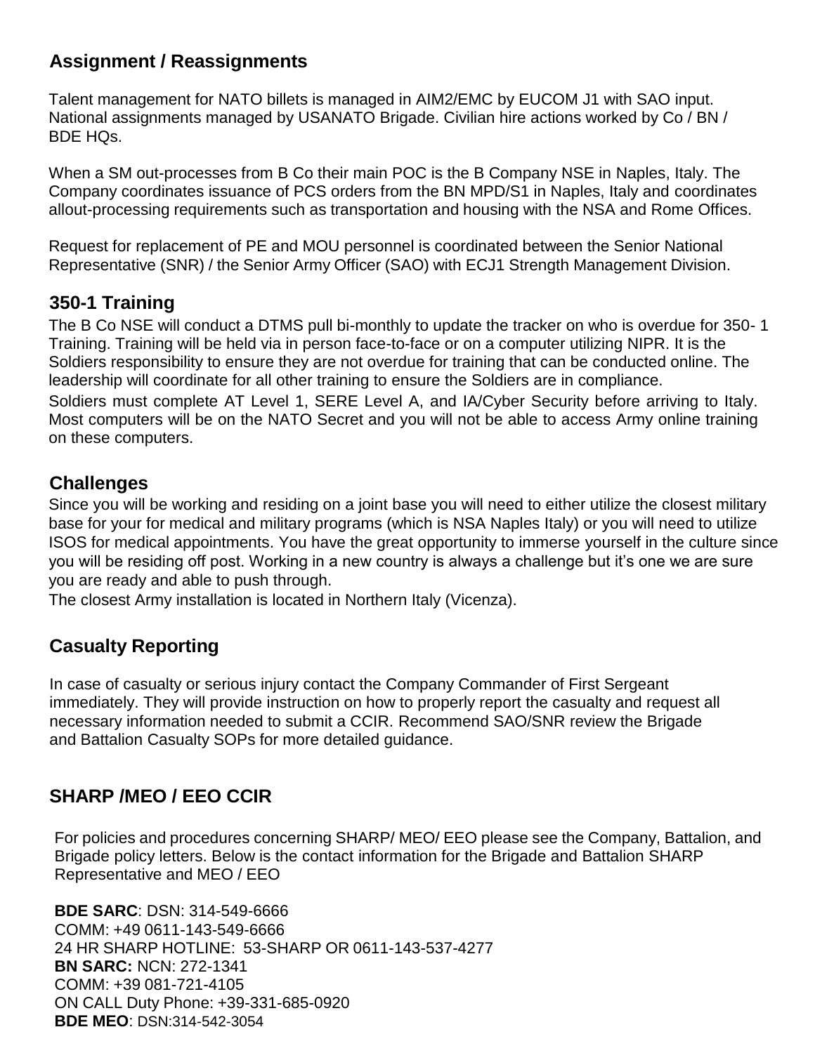## **Assignment / Reassignments**

Talent management for NATO billets is managed in AIM2/EMC by EUCOM J1 with SAO input. National assignments managed by USANATO Brigade. Civilian hire actions worked by Co / BN / BDE HQs.

When a SM out-processes from B Co their main POC is the B Company NSE in Naples, Italy. The Company coordinates issuance of PCS orders from the BN MPD/S1 in Naples, Italy and coordinates allout-processing requirements such as transportation and housing with the NSA and Rome Offices.

Request for replacement of PE and MOU personnel is coordinated between the Senior National Representative (SNR) / the Senior Army Officer (SAO) with ECJ1 Strength Management Division.

#### **350-1 Training**

The B Co NSE will conduct a DTMS pull bi-monthly to update the tracker on who is overdue for 350- 1 Training. Training will be held via in person face-to-face or on a computer utilizing NIPR. It is the Soldiers responsibility to ensure they are not overdue for training that can be conducted online. The leadership will coordinate for all other training to ensure the Soldiers are in compliance. Soldiers must complete AT Level 1, SERE Level A, and IA/Cyber Security before arriving to Italy. Most computers will be on the NATO Secret and you will not be able to access Army online training on these computers.

#### **Challenges**

Since you will be working and residing on a joint base you will need to either utilize the closest military base for your for medical and military programs (which is NSA Naples Italy) or you will need to utilize ISOS for medical appointments. You have the great opportunity to immerse yourself in the culture since you will be residing off post. Working in a new country is always a challenge but it's one we are sure you are ready and able to push through.

The closest Army installation is located in Northern Italy (Vicenza).

## **Casualty Reporting**

In case of casualty or serious injury contact the Company Commander of First Sergeant immediately. They will provide instruction on how to properly report the casualty and request all necessary information needed to submit a CCIR. Recommend SAO/SNR review the Brigade and Battalion Casualty SOPs for more detailed guidance.

## **SHARP /MEO / EEO CCIR**

For policies and procedures concerning SHARP/ MEO/ EEO please see the Company, Battalion, and Brigade policy letters. Below is the contact information for the Brigade and Battalion SHARP Representative and MEO / EEO

**BDE SARC**: DSN: 314-549-6666 COMM: +49 0611-143-549-6666 24 HR SHARP HOTLINE: 53-SHARP OR 0611-143-537-4277 **BN SARC:** NCN: 272-1341 COMM: +39 081-721-4105 ON CALL Duty Phone: +39-331-685-0920 **BDE MEO**: DSN:314-542-3054